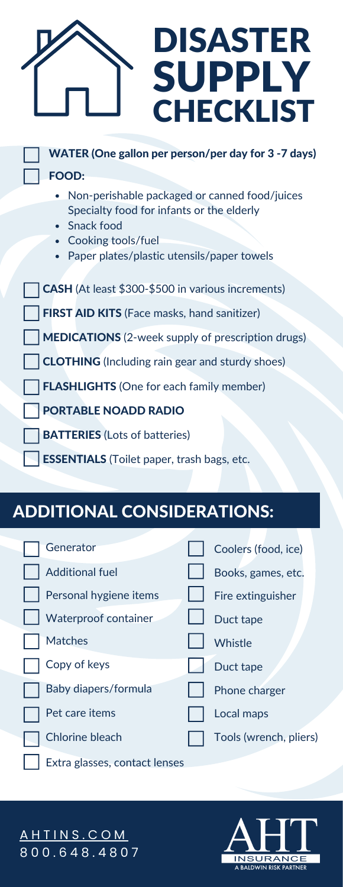| <b>DISASTER</b><br><b>SUPPLY</b><br><b>CHECKLIST</b>       |
|------------------------------------------------------------|
| WATER (One gallon per person/per day for 3 -7 days)        |
| <b>FOOD:</b>                                               |
| Non-perishable packaged or canned food/juices<br>$\bullet$ |
| Specialty food for infants or the elderly                  |
| Snack food                                                 |
| Cooking tools/fuel                                         |

Paper plates/plastic utensils/paper towels  $\bullet$ 

CASH (At least \$300-\$500 in various increments) FIRST AID KITS (Face masks, hand sanitizer) MEDICATIONS (2-week supply of prescription drugs) CLOTHING (Including rain gear and sturdy shoes) **FLASHLIGHTS** (One for each family member) PORTABLE NOADD RADIO

- **BATTERIES** (Lots of batteries)
- **ESSENTIALS** (Toilet paper, trash bags, etc.

## ADDITIONAL CONSIDERATIONS:

Generator

L

| <b>Additional fuel</b> | Books, games, etc.     |
|------------------------|------------------------|
| Personal hygiene items | Fire extinguisher      |
| Waterproof container   | Duct tape              |
| <b>Matches</b>         | Whistle                |
| Copy of keys           | Duct tape              |
| Baby diapers/formula   | Phone charger          |
| Pet care items         | Local maps             |
| <b>Chlorine bleach</b> | Tools (wrench, pliers) |
|                        |                        |

Extra glasses, contact lenses

**INSURANCE**<br>A BALDWIN RISK PARTNER

Coolers (food, ice)

<u>A H T I N S . C O [M](https://www.ahtins.com/contact-us/) </u> 8 0 0 . 6 4 8 . 4 8 0 7